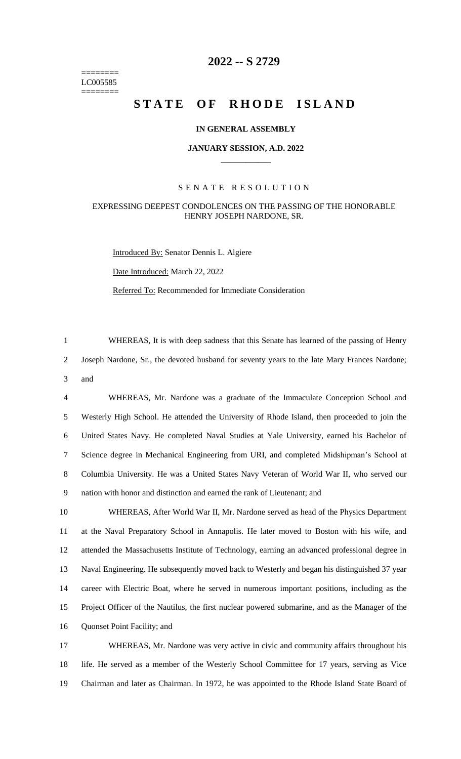======== LC005585 ========

# **-- S 2729**

# **STATE OF RHODE ISLAND**

# **IN GENERAL ASSEMBLY**

#### **JANUARY SESSION, A.D. 2022 \_\_\_\_\_\_\_\_\_\_\_\_**

## S E N A T E R E S O L U T I O N

## EXPRESSING DEEPEST CONDOLENCES ON THE PASSING OF THE HONORABLE HENRY JOSEPH NARDONE, SR.

Introduced By: Senator Dennis L. Algiere

Date Introduced: March 22, 2022

Referred To: Recommended for Immediate Consideration

 WHEREAS, It is with deep sadness that this Senate has learned of the passing of Henry Joseph Nardone, Sr., the devoted husband for seventy years to the late Mary Frances Nardone; and

 WHEREAS, Mr. Nardone was a graduate of the Immaculate Conception School and Westerly High School. He attended the University of Rhode Island, then proceeded to join the United States Navy. He completed Naval Studies at Yale University, earned his Bachelor of Science degree in Mechanical Engineering from URI, and completed Midshipman's School at Columbia University. He was a United States Navy Veteran of World War II, who served our nation with honor and distinction and earned the rank of Lieutenant; and

 WHEREAS, After World War II, Mr. Nardone served as head of the Physics Department at the Naval Preparatory School in Annapolis. He later moved to Boston with his wife, and attended the Massachusetts Institute of Technology, earning an advanced professional degree in Naval Engineering. He subsequently moved back to Westerly and began his distinguished 37 year career with Electric Boat, where he served in numerous important positions, including as the Project Officer of the Nautilus, the first nuclear powered submarine, and as the Manager of the Quonset Point Facility; and

 WHEREAS, Mr. Nardone was very active in civic and community affairs throughout his life. He served as a member of the Westerly School Committee for 17 years, serving as Vice Chairman and later as Chairman. In 1972, he was appointed to the Rhode Island State Board of